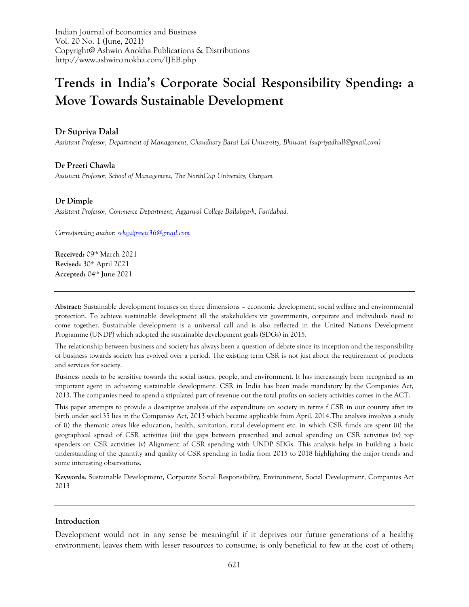Indian Journal of Economics and Business Vol. 20 No. 1 (June, 2021) Copyright@ Ashwin Anokha Publications & Distributions http://www.ashwinanokha.com/IJEB.php

# **Trends in India's Corporate Social Responsibility Spending: a Move Towards Sustainable Development**

**Dr Supriya Dalal**

*Assistant Professor, Department of Management, Chaudhary Bansi Lal University, Bhiwani. (supriyadhull@gmail.com)*

**Dr Preeti Chawla** *Assistant Professor, School of Management, The NorthCap University, Gurgaon*

## **Dr Dimple**

*Assistant Professor, Commerce Department, Aggarwal College Ballabgarh, Faridabad.*

*Corresponding author[: sehgalpreeti36@gmail.com](mailto:sehgalpreeti36@gmail.com)*

**Received:** 09th March 2021 **Revised:** 30th April 2021 **Accepted:** 04th June 2021

**Abstract:** Sustainable development focuses on three dimensions – economic development, social welfare and environmental protection. To achieve sustainable development all the stakeholders viz governments, corporate and individuals need to come together. Sustainable development is a universal call and is also reflected in the United Nations Development Programme (UNDP) which adopted the sustainable development goals (SDGs) in 2015.

The relationship between business and society has always been a question of debate since its inception and the responsibility of business towards society has evolved over a period. The existing term CSR is not just about the requirement of products and services for society.

Business needs to be sensitive towards the social issues, people, and environment. It has increasingly been recognized as an important agent in achieving sustainable development. CSR in India has been made mandatory by the Companies Act, 2013. The companies need to spend a stipulated part of revenue out the total profits on society activities comes in the ACT.

This paper attempts to provide a descriptive analysis of the expenditure on society in terms f CSR in our country after its birth under sec135 lies in the Companies Act, 2013 which became applicable from April, 2014.The analysis involves a study of (i) the thematic areas like education, health, sanitation, rural development etc. in which CSR funds are spent (ii) the geographical spread of CSR activities (iii) the gaps between prescribed and actual spending on CSR activities (iv) top spenders on CSR activities (v) Alignment of CSR spending with UNDP SDGs. This analysis helps in building a basic understanding of the quantity and quality of CSR spending in India from 2015 to 2018 highlighting the major trends and some interesting observations.

**Keywords:** Sustainable Development, Corporate Social Responsibility, Environment, Social Development, Companies Act 2013

#### **Introduction**

Development would not in any sense be meaningful if it deprives our future generations of a healthy environment; leaves them with lesser resources to consume; is only beneficial to few at the cost of others;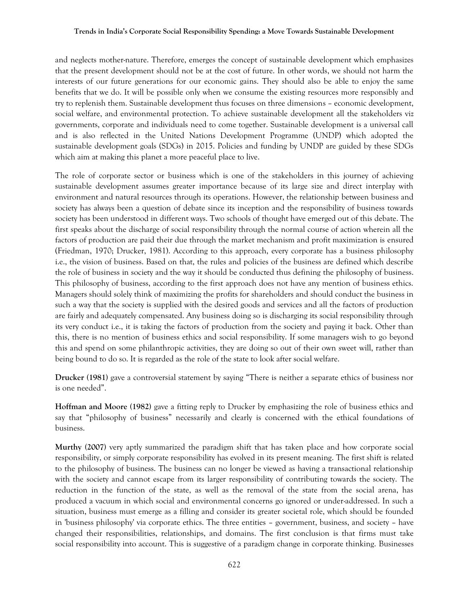and neglects mother-nature. Therefore, emerges the concept of sustainable development which emphasizes that the present development should not be at the cost of future. In other words, we should not harm the interests of our future generations for our economic gains. They should also be able to enjoy the same benefits that we do. It will be possible only when we consume the existing resources more responsibly and try to replenish them. Sustainable development thus focuses on three dimensions – economic development, social welfare, and environmental protection. To achieve sustainable development all the stakeholders viz governments, corporate and individuals need to come together. Sustainable development is a universal call and is also reflected in the United Nations Development Programme (UNDP) which adopted the sustainable development goals (SDGs) in 2015. Policies and funding by UNDP are guided by these SDGs which aim at making this planet a more peaceful place to live.

The role of corporate sector or business which is one of the stakeholders in this journey of achieving sustainable development assumes greater importance because of its large size and direct interplay with environment and natural resources through its operations. However, the relationship between business and society has always been a question of debate since its inception and the responsibility of business towards society has been understood in different ways. Two schools of thought have emerged out of this debate. The first speaks about the discharge of social responsibility through the normal course of action wherein all the factors of production are paid their due through the market mechanism and profit maximization is ensured (Friedman, 1970; Drucker, 1981). According to this approach, every corporate has a business philosophy i.e., the vision of business. Based on that, the rules and policies of the business are defined which describe the role of business in society and the way it should be conducted thus defining the philosophy of business. This philosophy of business, according to the first approach does not have any mention of business ethics. Managers should solely think of maximizing the profits for shareholders and should conduct the business in such a way that the society is supplied with the desired goods and services and all the factors of production are fairly and adequately compensated. Any business doing so is discharging its social responsibility through its very conduct i.e., it is taking the factors of production from the society and paying it back. Other than this, there is no mention of business ethics and social responsibility. If some managers wish to go beyond this and spend on some philanthropic activities, they are doing so out of their own sweet will, rather than being bound to do so. It is regarded as the role of the state to look after social welfare.

**Drucker (1981)** gave a controversial statement by saying "There is neither a separate ethics of business nor is one needed".

**Hoffman and Moore (1982)** gave a fitting reply to Drucker by emphasizing the role of business ethics and say that "philosophy of business" necessarily and clearly is concerned with the ethical foundations of business.

**Murthy (2007)** very aptly summarized the paradigm shift that has taken place and how corporate social responsibility, or simply corporate responsibility has evolved in its present meaning. The first shift is related to the philosophy of business. The business can no longer be viewed as having a transactional relationship with the society and cannot escape from its larger responsibility of contributing towards the society. The reduction in the function of the state, as well as the removal of the state from the social arena, has produced a vacuum in which social and environmental concerns go ignored or under-addressed. In such a situation, business must emerge as a filling and consider its greater societal role, which should be founded in 'business philosophy' via corporate ethics. The three entities – government, business, and society – have changed their responsibilities, relationships, and domains. The first conclusion is that firms must take social responsibility into account. This is suggestive of a paradigm change in corporate thinking. Businesses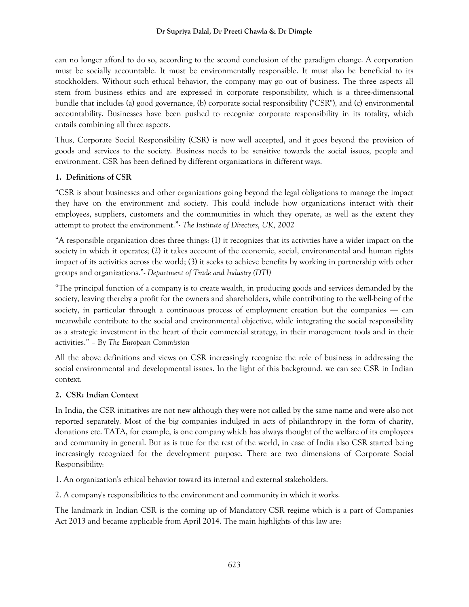### **Dr Supriya Dalal, Dr Preeti Chawla & Dr Dimple**

can no longer afford to do so, according to the second conclusion of the paradigm change. A corporation must be socially accountable. It must be environmentally responsible. It must also be beneficial to its stockholders. Without such ethical behavior, the company may go out of business. The three aspects all stem from business ethics and are expressed in corporate responsibility, which is a three-dimensional bundle that includes (a) good governance, (b) corporate social responsibility ("CSR"), and (c) environmental accountability. Businesses have been pushed to recognize corporate responsibility in its totality, which entails combining all three aspects.

Thus, Corporate Social Responsibility (CSR) is now well accepted, and it goes beyond the provision of goods and services to the society. Business needs to be sensitive towards the social issues, people and environment. CSR has been defined by different organizations in different ways.

# **1. Definitions of CSR**

"CSR is about businesses and other organizations going beyond the legal obligations to manage the impact they have on the environment and society. This could include how organizations interact with their employees, suppliers, customers and the communities in which they operate, as well as the extent they attempt to protect the environment."- *The Institute of Directors, UK, 2002*

"A responsible organization does three things: (1) it recognizes that its activities have a wider impact on the society in which it operates; (2) it takes account of the economic, social, environmental and human rights impact of its activities across the world; (3) it seeks to achieve benefits by working in partnership with other groups and organizations."- *Department of Trade and Industry (DTI)*

"The principal function of a company is to create wealth, in producing goods and services demanded by the society, leaving thereby a profit for the owners and shareholders, while contributing to the well-being of the society, in particular through a continuous process of employment creation but the companies — can meanwhile contribute to the social and environmental objective, while integrating the social responsibility as a strategic investment in the heart of their commercial strategy, in their management tools and in their activities." – By *The European Commission*

All the above definitions and views on CSR increasingly recognize the role of business in addressing the social environmental and developmental issues. In the light of this background, we can see CSR in Indian context.

# **2. CSR: Indian Context**

In India, the CSR initiatives are not new although they were not called by the same name and were also not reported separately. Most of the big companies indulged in acts of philanthropy in the form of charity, donations etc. TATA, for example, is one company which has always thought of the welfare of its employees and community in general. But as is true for the rest of the world, in case of India also CSR started being increasingly recognized for the development purpose. There are two dimensions of Corporate Social Responsibility:

1. An organization's ethical behavior toward its internal and external stakeholders.

2. A company's responsibilities to the environment and community in which it works.

The landmark in Indian CSR is the coming up of Mandatory CSR regime which is a part of Companies Act 2013 and became applicable from April 2014. The main highlights of this law are: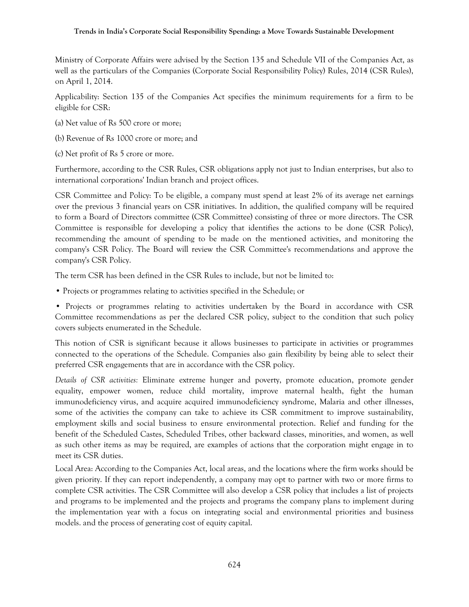Ministry of Corporate Affairs were advised by the Section 135 and Schedule VII of the Companies Act, as well as the particulars of the Companies (Corporate Social Responsibility Policy) Rules, 2014 (CSR Rules), on April 1, 2014.

Applicability: Section 135 of the Companies Act specifies the minimum requirements for a firm to be eligible for CSR:

- (a) Net value of Rs 500 crore or more;
- (b) Revenue of Rs 1000 crore or more; and
- (c) Net profit of Rs 5 crore or more.

Furthermore, according to the CSR Rules, CSR obligations apply not just to Indian enterprises, but also to international corporations' Indian branch and project offices.

CSR Committee and Policy: To be eligible, a company must spend at least 2% of its average net earnings over the previous 3 financial years on CSR initiatives. In addition, the qualified company will be required to form a Board of Directors committee (CSR Committee) consisting of three or more directors. The CSR Committee is responsible for developing a policy that identifies the actions to be done (CSR Policy), recommending the amount of spending to be made on the mentioned activities, and monitoring the company's CSR Policy. The Board will review the CSR Committee's recommendations and approve the company's CSR Policy.

The term CSR has been defined in the CSR Rules to include, but not be limited to:

• Projects or programmes relating to activities specified in the Schedule; or

• Projects or programmes relating to activities undertaken by the Board in accordance with CSR Committee recommendations as per the declared CSR policy, subject to the condition that such policy covers subjects enumerated in the Schedule.

This notion of CSR is significant because it allows businesses to participate in activities or programmes connected to the operations of the Schedule. Companies also gain flexibility by being able to select their preferred CSR engagements that are in accordance with the CSR policy.

*Details of CSR activities:* Eliminate extreme hunger and poverty, promote education, promote gender equality, empower women, reduce child mortality, improve maternal health, fight the human immunodeficiency virus, and acquire acquired immunodeficiency syndrome, Malaria and other illnesses, some of the activities the company can take to achieve its CSR commitment to improve sustainability, employment skills and social business to ensure environmental protection. Relief and funding for the benefit of the Scheduled Castes, Scheduled Tribes, other backward classes, minorities, and women, as well as such other items as may be required, are examples of actions that the corporation might engage in to meet its CSR duties.

Local Area: According to the Companies Act, local areas, and the locations where the firm works should be given priority. If they can report independently, a company may opt to partner with two or more firms to complete CSR activities. The CSR Committee will also develop a CSR policy that includes a list of projects and programs to be implemented and the projects and programs the company plans to implement during the implementation year with a focus on integrating social and environmental priorities and business models. and the process of generating cost of equity capital.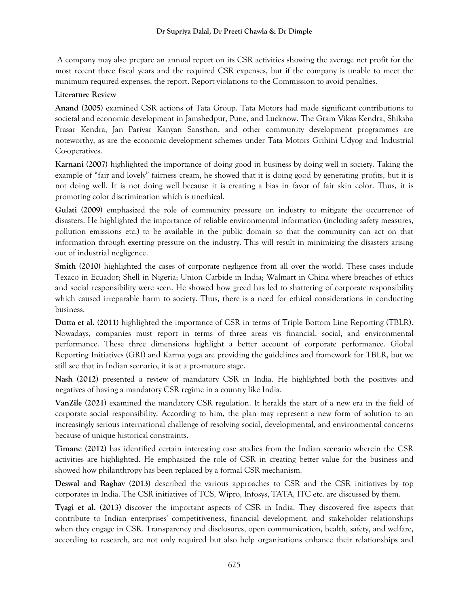A company may also prepare an annual report on its CSR activities showing the average net profit for the most recent three fiscal years and the required CSR expenses, but if the company is unable to meet the minimum required expenses, the report. Report violations to the Commission to avoid penalties.

# **Literature Review**

**Anand (2005)** examined CSR actions of Tata Group. Tata Motors had made significant contributions to societal and economic development in Jamshedpur, Pune, and Lucknow. The Gram Vikas Kendra, Shiksha Prasar Kendra, Jan Parivar Kanyan Sansthan, and other community development programmes are noteworthy, as are the economic development schemes under Tata Motors Grihini Udyog and Industrial Co-operatives.

**Karnani (2007)** highlighted the importance of doing good in business by doing well in society. Taking the example of "fair and lovely" fairness cream, he showed that it is doing good by generating profits, but it is not doing well. It is not doing well because it is creating a bias in favor of fair skin color. Thus, it is promoting color discrimination which is unethical.

**Gulati (2009)** emphasized the role of community pressure on industry to mitigate the occurrence of disasters. He highlighted the importance of reliable environmental information (including safety measures, pollution emissions etc.) to be available in the public domain so that the community can act on that information through exerting pressure on the industry. This will result in minimizing the disasters arising out of industrial negligence.

**Smith (2010)** highlighted the cases of corporate negligence from all over the world. These cases include Texaco in Ecuador; Shell in Nigeria; Union Carbide in India; Walmart in China where breaches of ethics and social responsibility were seen. He showed how greed has led to shattering of corporate responsibility which caused irreparable harm to society. Thus, there is a need for ethical considerations in conducting business.

**Dutta et al. (2011)** highlighted the importance of CSR in terms of Triple Bottom Line Reporting (TBLR). Nowadays, companies must report in terms of three areas vis financial, social, and environmental performance. These three dimensions highlight a better account of corporate performance. Global Reporting Initiatives (GRI) and Karma yoga are providing the guidelines and framework for TBLR, but we still see that in Indian scenario, it is at a pre-mature stage.

**Nash (2012)** presented a review of mandatory CSR in India. He highlighted both the positives and negatives of having a mandatory CSR regime in a country like India.

**VanZile (2021)** examined the mandatory CSR regulation. It heralds the start of a new era in the field of corporate social responsibility. According to him, the plan may represent a new form of solution to an increasingly serious international challenge of resolving social, developmental, and environmental concerns because of unique historical constraints.

**Timane (2012)** has identified certain interesting case studies from the Indian scenario wherein the CSR activities are highlighted. He emphasized the role of CSR in creating better value for the business and showed how philanthropy has been replaced by a formal CSR mechanism.

**Deswal and Raghav (2013)** described the various approaches to CSR and the CSR initiatives by top corporates in India. The CSR initiatives of TCS, Wipro, Infosys, TATA, ITC etc. are discussed by them.

**Tyagi et al. (2013)** discover the important aspects of CSR in India. They discovered five aspects that contribute to Indian enterprises' competitiveness, financial development, and stakeholder relationships when they engage in CSR. Transparency and disclosures, open communication, health, safety, and welfare, according to research, are not only required but also help organizations enhance their relationships and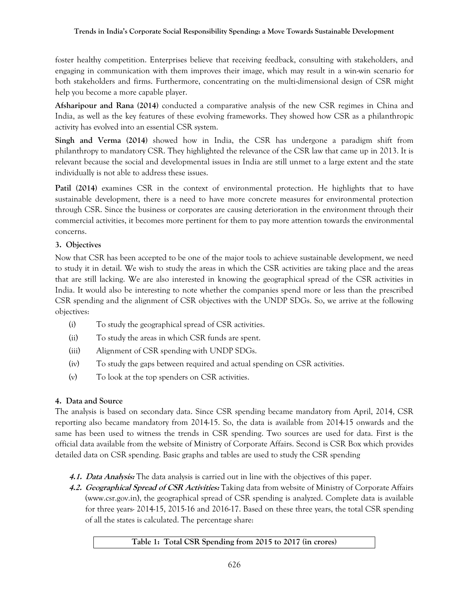foster healthy competition. Enterprises believe that receiving feedback, consulting with stakeholders, and engaging in communication with them improves their image, which may result in a win-win scenario for both stakeholders and firms. Furthermore, concentrating on the multi-dimensional design of CSR might help you become a more capable player.

**Afsharipour and Rana (2014)** conducted a comparative analysis of the new CSR regimes in China and India, as well as the key features of these evolving frameworks. They showed how CSR as a philanthropic activity has evolved into an essential CSR system.

**Singh and Verma (2014)** showed how in India, the CSR has undergone a paradigm shift from philanthropy to mandatory CSR. They highlighted the relevance of the CSR law that came up in 2013. It is relevant because the social and developmental issues in India are still unmet to a large extent and the state individually is not able to address these issues.

**Patil (2014)** examines CSR in the context of environmental protection. He highlights that to have sustainable development, there is a need to have more concrete measures for environmental protection through CSR. Since the business or corporates are causing deterioration in the environment through their commercial activities, it becomes more pertinent for them to pay more attention towards the environmental concerns.

# **3. Objectives**

Now that CSR has been accepted to be one of the major tools to achieve sustainable development, we need to study it in detail. We wish to study the areas in which the CSR activities are taking place and the areas that are still lacking. We are also interested in knowing the geographical spread of the CSR activities in India. It would also be interesting to note whether the companies spend more or less than the prescribed CSR spending and the alignment of CSR objectives with the UNDP SDGs. So, we arrive at the following objectives:

- (i) To study the geographical spread of CSR activities.
- (ii) To study the areas in which CSR funds are spent.
- (iii) Alignment of CSR spending with UNDP SDGs.
- (iv) To study the gaps between required and actual spending on CSR activities.
- (v) To look at the top spenders on CSR activities.

# **4. Data and Source**

The analysis is based on secondary data. Since CSR spending became mandatory from April, 2014, CSR reporting also became mandatory from 2014-15. So, the data is available from 2014-15 onwards and the same has been used to witness the trends in CSR spending. Two sources are used for data. First is the official data available from the website of Ministry of Corporate Affairs. Second is CSR Box which provides detailed data on CSR spending. Basic graphs and tables are used to study the CSR spending

- **4.1. Data Analysis:** The data analysis is carried out in line with the objectives of this paper.
- **4.2. Geographical Spread of CSR Activities:** Taking data from website of Ministry of Corporate Affairs [\(www.csr.gov.in\)](http://www.csr.gov.in/), the geographical spread of CSR spending is analyzed. Complete data is available for three years- 2014-15, 2015-16 and 2016-17. Based on these three years, the total CSR spending of all the states is calculated. The percentage share:

# **Table 1: Total CSR Spending from 2015 to 2017 (in crores)**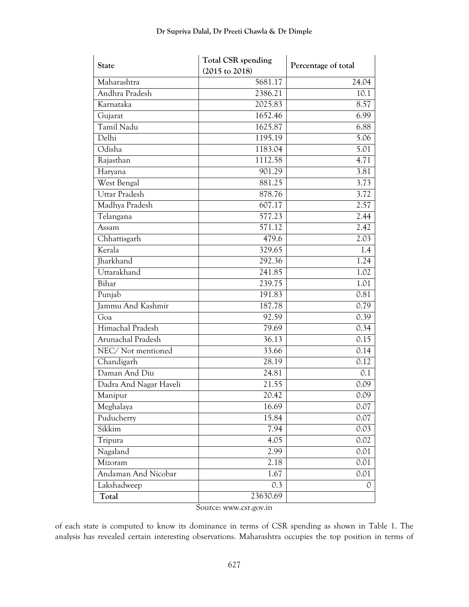| 5681.17<br>24.04<br>Maharashtra<br>Andhra Pradesh<br>2386.21<br>10.1<br>Karnataka<br>2025.83<br>8.57<br>1652.46<br>6.99<br>Gujarat<br>Tamil Nadu<br>1625.87<br>6.88<br>Delhi<br>1195.19<br>5.06<br>Odisha<br>1183.04<br>5.01<br>1112.58<br>4.71<br>Rajasthan<br>901.29<br>3.81<br>Haryana<br><b>West Bengal</b><br>881.25<br>3.73<br>Uttar Pradesh<br>878.76<br>3.72<br>607.17<br>Madhya Pradesh<br>2.57<br>577.23<br>Telangana<br>2.44<br>571.12<br>2.42<br>Assam<br>Chhattisgarh<br>2.03<br>479.6<br>Kerala<br>329.65<br>1.4<br><b>Iharkhand</b><br>292.36<br>1.24<br>Uttarakhand<br>241.85<br>1.02<br>Bihar<br>239.75<br>1.01<br>191.83<br>0.81<br>Punjab<br>Jammu And Kashmir<br>187.78<br>0.79<br>92.59<br>0.39<br>Goa<br>Himachal Pradesh<br>79.69<br>0.34<br>Arunachal Pradesh<br>36.13<br>0.15<br>NEC/Not mentioned<br>33.66<br>0.14<br>Chandigarh<br>28.19<br>0.12<br>Daman And Diu<br>24.81<br>0.1<br>Dadra And Nagar Haveli<br>21.55<br>0.09<br>20.42<br>0.09<br>Manipur<br>16.69<br>Meghalaya<br>0.07<br>Puducherry<br>15.84<br>0.07<br>Sikkim<br>7.94<br>0.03<br>4.05<br>0.02<br>Tripura<br>Nagaland<br>2.99<br>0.01<br>2.18<br>0.01<br>Mizoram<br>Andaman And Nicobar<br>1.67<br>0.01<br>Lakshadweep<br>0.3<br>$\mathcal{O}$<br>23630.69<br>Total | <b>State</b> | <b>Total CSR spending</b> | Percentage of total |  |  |
|-----------------------------------------------------------------------------------------------------------------------------------------------------------------------------------------------------------------------------------------------------------------------------------------------------------------------------------------------------------------------------------------------------------------------------------------------------------------------------------------------------------------------------------------------------------------------------------------------------------------------------------------------------------------------------------------------------------------------------------------------------------------------------------------------------------------------------------------------------------------------------------------------------------------------------------------------------------------------------------------------------------------------------------------------------------------------------------------------------------------------------------------------------------------------------------------------------------------------------------------------------------------|--------------|---------------------------|---------------------|--|--|
|                                                                                                                                                                                                                                                                                                                                                                                                                                                                                                                                                                                                                                                                                                                                                                                                                                                                                                                                                                                                                                                                                                                                                                                                                                                                 |              | (2015 to 2018)            |                     |  |  |
|                                                                                                                                                                                                                                                                                                                                                                                                                                                                                                                                                                                                                                                                                                                                                                                                                                                                                                                                                                                                                                                                                                                                                                                                                                                                 |              |                           |                     |  |  |
|                                                                                                                                                                                                                                                                                                                                                                                                                                                                                                                                                                                                                                                                                                                                                                                                                                                                                                                                                                                                                                                                                                                                                                                                                                                                 |              |                           |                     |  |  |
|                                                                                                                                                                                                                                                                                                                                                                                                                                                                                                                                                                                                                                                                                                                                                                                                                                                                                                                                                                                                                                                                                                                                                                                                                                                                 |              |                           |                     |  |  |
|                                                                                                                                                                                                                                                                                                                                                                                                                                                                                                                                                                                                                                                                                                                                                                                                                                                                                                                                                                                                                                                                                                                                                                                                                                                                 |              |                           |                     |  |  |
|                                                                                                                                                                                                                                                                                                                                                                                                                                                                                                                                                                                                                                                                                                                                                                                                                                                                                                                                                                                                                                                                                                                                                                                                                                                                 |              |                           |                     |  |  |
|                                                                                                                                                                                                                                                                                                                                                                                                                                                                                                                                                                                                                                                                                                                                                                                                                                                                                                                                                                                                                                                                                                                                                                                                                                                                 |              |                           |                     |  |  |
|                                                                                                                                                                                                                                                                                                                                                                                                                                                                                                                                                                                                                                                                                                                                                                                                                                                                                                                                                                                                                                                                                                                                                                                                                                                                 |              |                           |                     |  |  |
|                                                                                                                                                                                                                                                                                                                                                                                                                                                                                                                                                                                                                                                                                                                                                                                                                                                                                                                                                                                                                                                                                                                                                                                                                                                                 |              |                           |                     |  |  |
|                                                                                                                                                                                                                                                                                                                                                                                                                                                                                                                                                                                                                                                                                                                                                                                                                                                                                                                                                                                                                                                                                                                                                                                                                                                                 |              |                           |                     |  |  |
|                                                                                                                                                                                                                                                                                                                                                                                                                                                                                                                                                                                                                                                                                                                                                                                                                                                                                                                                                                                                                                                                                                                                                                                                                                                                 |              |                           |                     |  |  |
|                                                                                                                                                                                                                                                                                                                                                                                                                                                                                                                                                                                                                                                                                                                                                                                                                                                                                                                                                                                                                                                                                                                                                                                                                                                                 |              |                           |                     |  |  |
|                                                                                                                                                                                                                                                                                                                                                                                                                                                                                                                                                                                                                                                                                                                                                                                                                                                                                                                                                                                                                                                                                                                                                                                                                                                                 |              |                           |                     |  |  |
|                                                                                                                                                                                                                                                                                                                                                                                                                                                                                                                                                                                                                                                                                                                                                                                                                                                                                                                                                                                                                                                                                                                                                                                                                                                                 |              |                           |                     |  |  |
|                                                                                                                                                                                                                                                                                                                                                                                                                                                                                                                                                                                                                                                                                                                                                                                                                                                                                                                                                                                                                                                                                                                                                                                                                                                                 |              |                           |                     |  |  |
|                                                                                                                                                                                                                                                                                                                                                                                                                                                                                                                                                                                                                                                                                                                                                                                                                                                                                                                                                                                                                                                                                                                                                                                                                                                                 |              |                           |                     |  |  |
|                                                                                                                                                                                                                                                                                                                                                                                                                                                                                                                                                                                                                                                                                                                                                                                                                                                                                                                                                                                                                                                                                                                                                                                                                                                                 |              |                           |                     |  |  |
|                                                                                                                                                                                                                                                                                                                                                                                                                                                                                                                                                                                                                                                                                                                                                                                                                                                                                                                                                                                                                                                                                                                                                                                                                                                                 |              |                           |                     |  |  |
|                                                                                                                                                                                                                                                                                                                                                                                                                                                                                                                                                                                                                                                                                                                                                                                                                                                                                                                                                                                                                                                                                                                                                                                                                                                                 |              |                           |                     |  |  |
|                                                                                                                                                                                                                                                                                                                                                                                                                                                                                                                                                                                                                                                                                                                                                                                                                                                                                                                                                                                                                                                                                                                                                                                                                                                                 |              |                           |                     |  |  |
|                                                                                                                                                                                                                                                                                                                                                                                                                                                                                                                                                                                                                                                                                                                                                                                                                                                                                                                                                                                                                                                                                                                                                                                                                                                                 |              |                           |                     |  |  |
|                                                                                                                                                                                                                                                                                                                                                                                                                                                                                                                                                                                                                                                                                                                                                                                                                                                                                                                                                                                                                                                                                                                                                                                                                                                                 |              |                           |                     |  |  |
|                                                                                                                                                                                                                                                                                                                                                                                                                                                                                                                                                                                                                                                                                                                                                                                                                                                                                                                                                                                                                                                                                                                                                                                                                                                                 |              |                           |                     |  |  |
|                                                                                                                                                                                                                                                                                                                                                                                                                                                                                                                                                                                                                                                                                                                                                                                                                                                                                                                                                                                                                                                                                                                                                                                                                                                                 |              |                           |                     |  |  |
|                                                                                                                                                                                                                                                                                                                                                                                                                                                                                                                                                                                                                                                                                                                                                                                                                                                                                                                                                                                                                                                                                                                                                                                                                                                                 |              |                           |                     |  |  |
|                                                                                                                                                                                                                                                                                                                                                                                                                                                                                                                                                                                                                                                                                                                                                                                                                                                                                                                                                                                                                                                                                                                                                                                                                                                                 |              |                           |                     |  |  |
|                                                                                                                                                                                                                                                                                                                                                                                                                                                                                                                                                                                                                                                                                                                                                                                                                                                                                                                                                                                                                                                                                                                                                                                                                                                                 |              |                           |                     |  |  |
|                                                                                                                                                                                                                                                                                                                                                                                                                                                                                                                                                                                                                                                                                                                                                                                                                                                                                                                                                                                                                                                                                                                                                                                                                                                                 |              |                           |                     |  |  |
|                                                                                                                                                                                                                                                                                                                                                                                                                                                                                                                                                                                                                                                                                                                                                                                                                                                                                                                                                                                                                                                                                                                                                                                                                                                                 |              |                           |                     |  |  |
|                                                                                                                                                                                                                                                                                                                                                                                                                                                                                                                                                                                                                                                                                                                                                                                                                                                                                                                                                                                                                                                                                                                                                                                                                                                                 |              |                           |                     |  |  |
|                                                                                                                                                                                                                                                                                                                                                                                                                                                                                                                                                                                                                                                                                                                                                                                                                                                                                                                                                                                                                                                                                                                                                                                                                                                                 |              |                           |                     |  |  |
|                                                                                                                                                                                                                                                                                                                                                                                                                                                                                                                                                                                                                                                                                                                                                                                                                                                                                                                                                                                                                                                                                                                                                                                                                                                                 |              |                           |                     |  |  |
|                                                                                                                                                                                                                                                                                                                                                                                                                                                                                                                                                                                                                                                                                                                                                                                                                                                                                                                                                                                                                                                                                                                                                                                                                                                                 |              |                           |                     |  |  |
|                                                                                                                                                                                                                                                                                                                                                                                                                                                                                                                                                                                                                                                                                                                                                                                                                                                                                                                                                                                                                                                                                                                                                                                                                                                                 |              |                           |                     |  |  |
|                                                                                                                                                                                                                                                                                                                                                                                                                                                                                                                                                                                                                                                                                                                                                                                                                                                                                                                                                                                                                                                                                                                                                                                                                                                                 |              |                           |                     |  |  |
|                                                                                                                                                                                                                                                                                                                                                                                                                                                                                                                                                                                                                                                                                                                                                                                                                                                                                                                                                                                                                                                                                                                                                                                                                                                                 |              |                           |                     |  |  |
|                                                                                                                                                                                                                                                                                                                                                                                                                                                                                                                                                                                                                                                                                                                                                                                                                                                                                                                                                                                                                                                                                                                                                                                                                                                                 |              |                           |                     |  |  |
|                                                                                                                                                                                                                                                                                                                                                                                                                                                                                                                                                                                                                                                                                                                                                                                                                                                                                                                                                                                                                                                                                                                                                                                                                                                                 |              |                           |                     |  |  |
|                                                                                                                                                                                                                                                                                                                                                                                                                                                                                                                                                                                                                                                                                                                                                                                                                                                                                                                                                                                                                                                                                                                                                                                                                                                                 |              |                           |                     |  |  |

Source: www.csr.gov.in

of each state is computed to know its dominance in terms of CSR spending as shown in Table 1. The analysis has revealed certain interesting observations. Maharashtra occupies the top position in terms of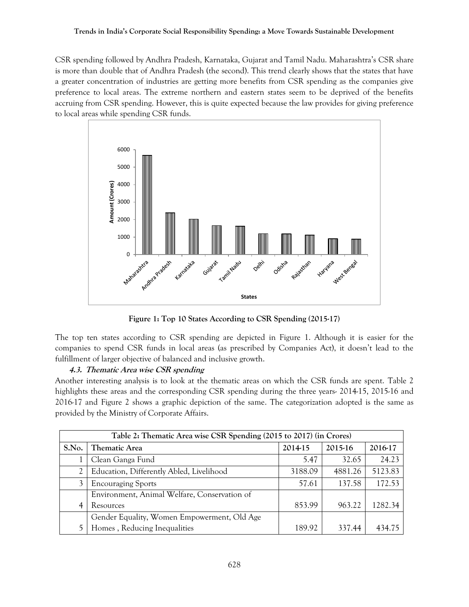CSR spending followed by Andhra Pradesh, Karnataka, Gujarat and Tamil Nadu. Maharashtra's CSR share is more than double that of Andhra Pradesh (the second). This trend clearly shows that the states that have a greater concentration of industries are getting more benefits from CSR spending as the companies give preference to local areas. The extreme northern and eastern states seem to be deprived of the benefits accruing from CSR spending. However, this is quite expected because the law provides for giving preference to local areas while spending CSR funds.



**Figure 1: Top 10 States According to CSR Spending (2015-17)**

The top ten states according to CSR spending are depicted in Figure 1. Although it is easier for the companies to spend CSR funds in local areas (as prescribed by Companies Act), it doesn't lead to the fulfillment of larger objective of balanced and inclusive growth.

## **4.3. Thematic Area wise CSR spending**

Another interesting analysis is to look at the thematic areas on which the CSR funds are spent. Table 2 highlights these areas and the corresponding CSR spending during the three years- 2014-15, 2015-16 and 2016-17 and Figure 2 shows a graphic depiction of the same. The categorization adopted is the same as provided by the Ministry of Corporate Affairs.

| Table 2: Thematic Area wise CSR Spending (2015 to 2017) (in Crores) |                                              |         |         |         |  |
|---------------------------------------------------------------------|----------------------------------------------|---------|---------|---------|--|
| S.No.                                                               | <b>Thematic Area</b>                         | 2014-15 | 2015-16 | 2016-17 |  |
|                                                                     | Clean Ganga Fund                             | 5.47    | 32.65   | 24.23   |  |
|                                                                     | Education, Differently Abled, Livelihood     | 3188.09 | 4881.26 | 5123.83 |  |
|                                                                     | <b>Encouraging Sports</b>                    | 57.61   | 137.58  | 172.53  |  |
|                                                                     | Environment, Animal Welfare, Conservation of |         |         |         |  |
|                                                                     | Resources                                    | 853.99  | 963.22  | 1282.34 |  |
|                                                                     | Gender Equality, Women Empowerment, Old Age  |         |         |         |  |
|                                                                     | Homes, Reducing Inequalities                 | 189.92  | 337.44  | 434.75  |  |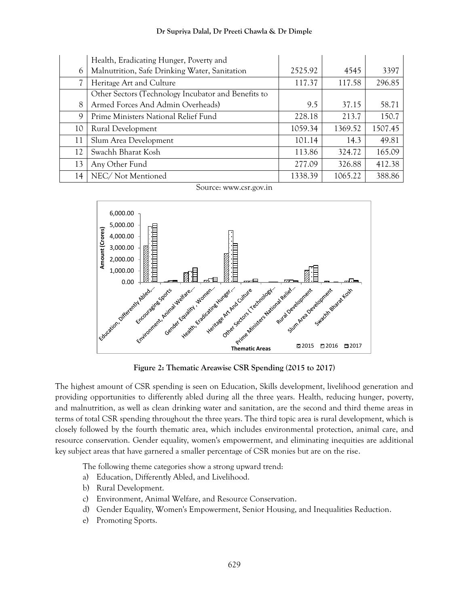|    | Health, Eradicating Hunger, Poverty and             |         |         |         |
|----|-----------------------------------------------------|---------|---------|---------|
| 6  | Malnutrition, Safe Drinking Water, Sanitation       | 2525.92 | 4545    | 3397    |
|    | Heritage Art and Culture                            | 117.37  | 117.58  | 296.85  |
|    | Other Sectors (Technology Incubator and Benefits to |         |         |         |
| 8  | Armed Forces And Admin Overheads)                   | 9.5     | 37.15   | 58.71   |
| 9  | Prime Ministers National Relief Fund                | 228.18  | 213.7   | 150.7   |
| 10 | Rural Development                                   | 1059.34 | 1369.52 | 1507.45 |
| 11 | Slum Area Development                               | 101.14  | 14.3    | 49.81   |
| 12 | Swachh Bharat Kosh                                  | 113.86  | 324.72  | 165.09  |
| 13 | Any Other Fund                                      | 277.09  | 326.88  | 412.38  |
| 14 | NEC/Not Mentioned                                   | 1338.39 | 1065.22 | 388.86  |





**Figure 2: Thematic Areawise CSR Spending (2015 to 2017)**

The highest amount of CSR spending is seen on Education, Skills development, livelihood generation and providing opportunities to differently abled during all the three years. Health, reducing hunger, poverty, and malnutrition, as well as clean drinking water and sanitation, are the second and third theme areas in terms of total CSR spending throughout the three years. The third topic area is rural development, which is closely followed by the fourth thematic area, which includes environmental protection, animal care, and resource conservation. Gender equality, women's empowerment, and eliminating inequities are additional key subject areas that have garnered a smaller percentage of CSR monies but are on the rise.

The following theme categories show a strong upward trend:

- a) Education, Differently Abled, and Livelihood.
- b) Rural Development.
- c) Environment, Animal Welfare, and Resource Conservation.
- d) Gender Equality, Women's Empowerment, Senior Housing, and Inequalities Reduction.
- e) Promoting Sports.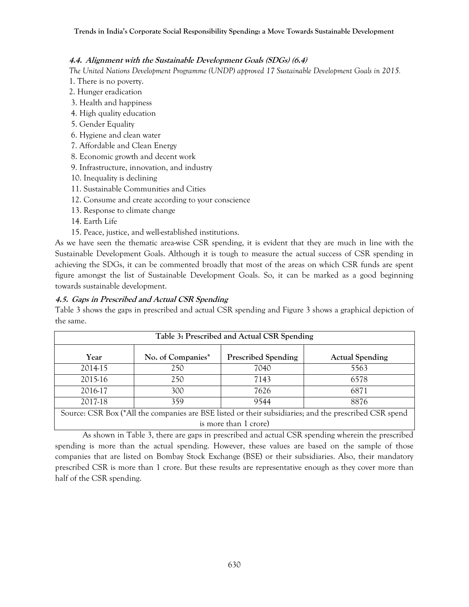## **4.4. Alignment with the Sustainable Development Goals (SDGs) (6.4)**

*The United Nations Development Programme (UNDP) approved 17 Sustainable Development Goals in 2015.*

- 1. There is no poverty.
- 2. Hunger eradication
- 3. Health and happiness
- 4. High quality education
- 5. Gender Equality
- 6. Hygiene and clean water
- 7. Affordable and Clean Energy
- 8. Economic growth and decent work
- 9. Infrastructure, innovation, and industry
- 10. Inequality is declining
- 11. Sustainable Communities and Cities
- 12. Consume and create according to your conscience
- 13. Response to climate change
- 14. Earth Life
- 15. Peace, justice, and well-established institutions.

As we have seen the thematic area-wise CSR spending, it is evident that they are much in line with the Sustainable Development Goals. Although it is tough to measure the actual success of CSR spending in achieving the SDGs, it can be commented broadly that most of the areas on which CSR funds are spent figure amongst the list of Sustainable Development Goals. So, it can be marked as a good beginning towards sustainable development.

# **4.5. Gaps in Prescribed and Actual CSR Spending**

Table 3 shows the gaps in prescribed and actual CSR spending and Figure 3 shows a graphical depiction of the same.

| Table 3: Prescribed and Actual CSR Spending |                   |                            |                              |  |
|---------------------------------------------|-------------------|----------------------------|------------------------------|--|
| Year                                        | No. of Companies* | <b>Prescribed Spending</b> | <b>Actual Spending</b>       |  |
| 2014-15                                     | 250               | 7040                       | 5563                         |  |
| 2015-16                                     | 250               | 7143                       | 6578                         |  |
| 2016-17                                     | 300               | 7626                       | 6871                         |  |
| 2017-18                                     | 359               | 9544                       | 8876                         |  |
| $/4$ $\lambda$ 11 $\lambda$ 1<br>$\cap$ nn  | DCD1              | $\cdot$ 1.<br>$\cdot$      | $1 \cap \cap D$<br>$\cdot$ 1 |  |

Source: CSR Box (\*All the companies are BSE listed or their subsidiaries; and the prescribed CSR spend is more than 1 crore)

As shown in Table 3, there are gaps in prescribed and actual CSR spending wherein the prescribed spending is more than the actual spending. However, these values are based on the sample of those companies that are listed on Bombay Stock Exchange (BSE) or their subsidiaries. Also, their mandatory prescribed CSR is more than 1 crore. But these results are representative enough as they cover more than half of the CSR spending.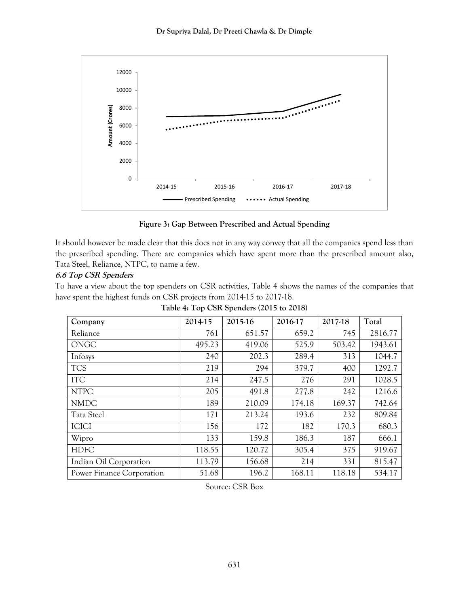

**Figure 3: Gap Between Prescribed and Actual Spending**

It should however be made clear that this does not in any way convey that all the companies spend less than the prescribed spending. There are companies which have spent more than the prescribed amount also, Tata Steel, Reliance, NTPC, to name a few.

## **6.6 Top CSR Spenders**

To have a view about the top spenders on CSR activities, Table 4 shows the names of the companies that have spent the highest funds on CSR projects from 2014-15 to 2017-18.

**Table 4: Top CSR Spenders (2015 to 2018)**

| Company                   | 2014-15 | 2015-16 | 2016-17 | 2017-18 | Total   |
|---------------------------|---------|---------|---------|---------|---------|
| Reliance                  | 761     | 651.57  | 659.2   | 745     | 2816.77 |
| <b>ONGC</b>               | 495.23  | 419.06  | 525.9   | 503.42  | 1943.61 |
| Infosys                   | 240     | 202.3   | 289.4   | 313     | 1044.7  |
| <b>TCS</b>                | 219     | 294     | 379.7   | 400     | 1292.7  |
| <b>ITC</b>                | 214     | 247.5   | 276     | 291     | 1028.5  |
| <b>NTPC</b>               | 205     | 491.8   | 277.8   | 242     | 1216.6  |
| <b>NMDC</b>               | 189     | 210.09  | 174.18  | 169.37  | 742.64  |
| <b>Tata Steel</b>         | 171     | 213.24  | 193.6   | 232     | 809.84  |
| <b>ICICI</b>              | 156     | 172     | 182     | 170.3   | 680.3   |
| Wipro                     | 133     | 159.8   | 186.3   | 187     | 666.1   |
| <b>HDFC</b>               | 118.55  | 120.72  | 305.4   | 375     | 919.67  |
| Indian Oil Corporation    | 113.79  | 156.68  | 214     | 331     | 815.47  |
| Power Finance Corporation | 51.68   | 196.2   | 168.11  | 118.18  | 534.17  |

Source: CSR Box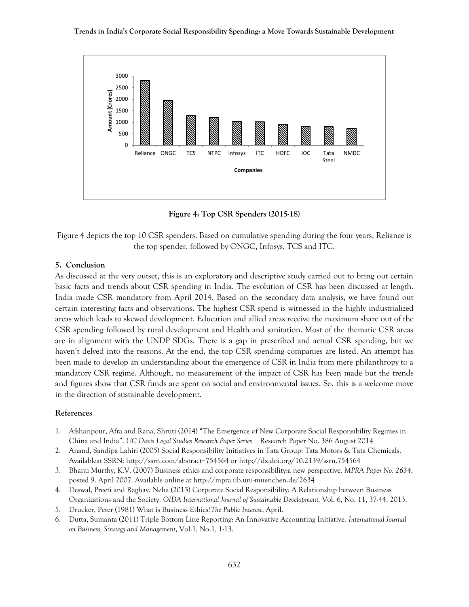

**Figure 4: Top CSR Spenders (2015-18)**

Figure 4 depicts the top 10 CSR spenders. Based on cumulative spending during the four years, Reliance is the top spender, followed by ONGC, Infosys, TCS and ITC.

#### **5. Conclusion**

As discussed at the very outset, this is an exploratory and descriptive study carried out to bring out certain basic facts and trends about CSR spending in India. The evolution of CSR has been discussed at length. India made CSR mandatory from April 2014. Based on the secondary data analysis, we have found out certain interesting facts and observations. The highest CSR spend is witnessed in the highly industrialized areas which leads to skewed development. Education and allied areas receive the maximum share out of the CSR spending followed by rural development and Health and sanitation. Most of the thematic CSR areas are in alignment with the UNDP SDGs. There is a gap in prescribed and actual CSR spending, but we haven't delved into the reasons. At the end, the top CSR spending companies are listed. An attempt has been made to develop an understanding about the emergence of CSR in India from mere philanthropy to a mandatory CSR regime. Although, no measurement of the impact of CSR has been made but the trends and figures show that CSR funds are spent on social and environmental issues. So, this is a welcome move in the direction of sustainable development.

#### **References**

- 1. Afsharipour, Afra and Rana, Shruti (2014) "The Emergence of New Corporate Social Responsibility Regimes in China and India". *UC Davis Legal Studies Research Paper Series* Research Paper No. 386 August 2014
- 2. Anand, Sandipa Lahiri (2005) Social Responsibility Initiatives in Tata Group: Tata Motors & Tata Chemicals. Availableat SSRN: http://ssrn.com/abstract=754564 or http://dx.doi.org/10.2139/ssrn.754564
- 3. Bhanu Murthy, K.V. (2007) Business ethics and corporate responsibility:a new perspective. *MPRA Paper No. 2634*, posted 9. April 2007. Available online at http://mpra.ub.uni-muenchen.de/2634
- 4. Deswal, Preeti and Raghav, Neha (2013) Corporate Social Responsibility: A Relationship between Business Organizations and the Society. *OIDA International Journal of Sustainable Development,* Vol. 6, No. 11, 37-44, 2013.
- 5. Drucker, Peter (1981) What is Business Ethics?*The Public Interest*, April.
- 6. Dutta, Sumanta (2011) Triple Bottom Line Reporting: An Innovative Accounting Initiative. *International Journal on Business, Strategy and Management*, Vol.1, No.1, 1-13.